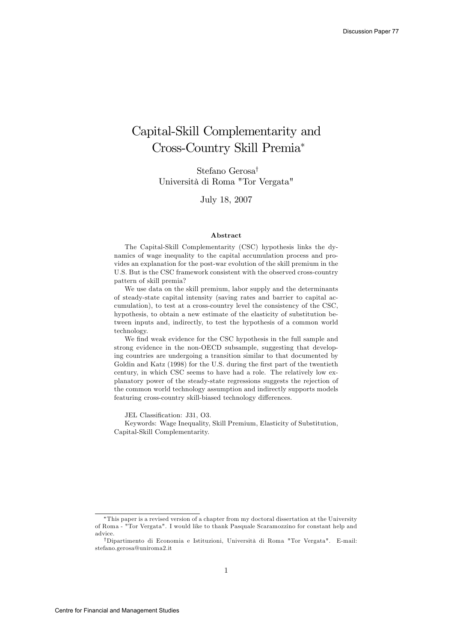## Capital-Skill Complementarity and Cross-Country Skill Premia

Stefano Gerosa<sup>†</sup> Università di Roma "Tor Vergata"

July 18, 2007

#### Abstract

The Capital-Skill Complementarity (CSC) hypothesis links the dynamics of wage inequality to the capital accumulation process and provides an explanation for the post-war evolution of the skill premium in the U.S. But is the CSC framework consistent with the observed cross-country pattern of skill premia?

We use data on the skill premium, labor supply and the determinants of steady-state capital intensity (saving rates and barrier to capital accumulation), to test at a cross-country level the consistency of the CSC, hypothesis, to obtain a new estimate of the elasticity of substitution between inputs and, indirectly, to test the hypothesis of a common world technology.

We find weak evidence for the CSC hypothesis in the full sample and strong evidence in the non-OECD subsample, suggesting that developing countries are undergoing a transition similar to that documented by Goldin and Katz (1998) for the U.S. during the first part of the twentieth century, in which CSC seems to have had a role. The relatively low explanatory power of the steady-state regressions suggests the rejection of the common world technology assumption and indirectly supports models featuring cross-country skill-biased technology differences.

JEL Classification: J31, O3.

Keywords: Wage Inequality, Skill Premium, Elasticity of Substitution, Capital-Skill Complementarity.

This paper is a revised version of a chapter from my doctoral dissertation at the University of Roma - "Tor Vergata". I would like to thank Pasquale Scaramozzino for constant help and advice.

<sup>&</sup>lt;sup>†</sup>Dipartimento di Economia e Istituzioni, Università di Roma "Tor Vergata". E-mail: stefano.gerosa@uniroma2.it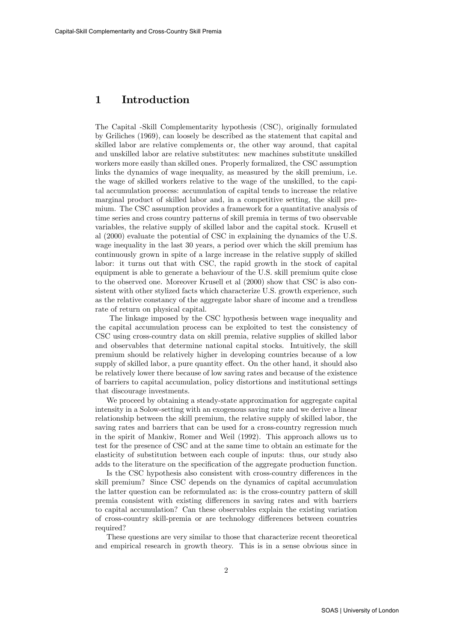#### 1 Introduction

The Capital -Skill Complementarity hypothesis (CSC), originally formulated by Griliches (1969), can loosely be described as the statement that capital and skilled labor are relative complements or, the other way around, that capital and unskilled labor are relative substitutes: new machines substitute unskilled workers more easily than skilled ones. Properly formalized, the CSC assumption links the dynamics of wage inequality, as measured by the skill premium, i.e. the wage of skilled workers relative to the wage of the unskilled, to the capital accumulation process: accumulation of capital tends to increase the relative marginal product of skilled labor and, in a competitive setting, the skill premium. The CSC assumption provides a framework for a quantitative analysis of time series and cross country patterns of skill premia in terms of two observable variables, the relative supply of skilled labor and the capital stock. Krusell et al (2000) evaluate the potential of CSC in explaining the dynamics of the U.S. wage inequality in the last 30 years, a period over which the skill premium has continuously grown in spite of a large increase in the relative supply of skilled labor: it turns out that with CSC, the rapid growth in the stock of capital equipment is able to generate a behaviour of the U.S. skill premium quite close to the observed one. Moreover Krusell et al (2000) show that CSC is also consistent with other stylized facts which characterize U.S. growth experience, such as the relative constancy of the aggregate labor share of income and a trendless rate of return on physical capital.

The linkage imposed by the CSC hypothesis between wage inequality and the capital accumulation process can be exploited to test the consistency of CSC using cross-country data on skill premia, relative supplies of skilled labor and observables that determine national capital stocks. Intuitively, the skill premium should be relatively higher in developing countries because of a low supply of skilled labor, a pure quantity effect. On the other hand, it should also be relatively lower there because of low saving rates and because of the existence of barriers to capital accumulation, policy distortions and institutional settings that discourage investments.

We proceed by obtaining a steady-state approximation for aggregate capital intensity in a Solow-setting with an exogenous saving rate and we derive a linear relationship between the skill premium, the relative supply of skilled labor, the saving rates and barriers that can be used for a cross-country regression much in the spirit of Mankiw, Romer and Weil (1992). This approach allows us to test for the presence of CSC and at the same time to obtain an estimate for the elasticity of substitution between each couple of inputs: thus, our study also adds to the literature on the specification of the aggregate production function.

Is the CSC hypothesis also consistent with cross-country differences in the skill premium? Since CSC depends on the dynamics of capital accumulation the latter question can be reformulated as: is the cross-country pattern of skill premia consistent with existing differences in saving rates and with barriers to capital accumulation? Can these observables explain the existing variation of cross-country skill-premia or are technology differences between countries required?

These questions are very similar to those that characterize recent theoretical and empirical research in growth theory. This is in a sense obvious since in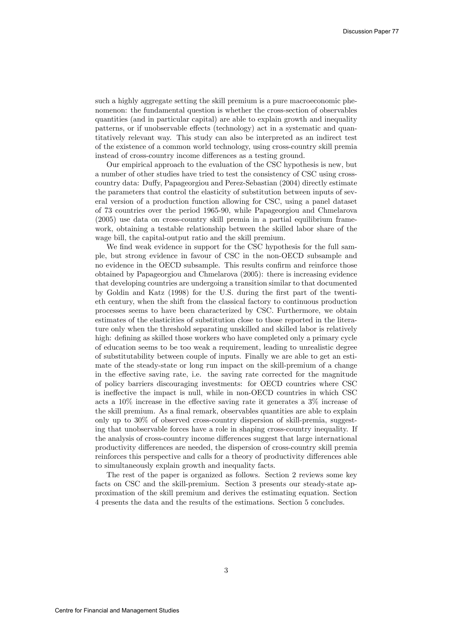such a highly aggregate setting the skill premium is a pure macroeconomic phenomenon: the fundamental question is whether the cross-section of observables quantities (and in particular capital) are able to explain growth and inequality patterns, or if unobservable effects (technology) act in a systematic and quantitatively relevant way. This study can also be interpreted as an indirect test of the existence of a common world technology, using cross-country skill premia instead of cross-country income differences as a testing ground.

Our empirical approach to the evaluation of the CSC hypothesis is new, but a number of other studies have tried to test the consistency of CSC using crosscountry data: Duffy, Papageorgiou and Perez-Sebastian (2004) directly estimate the parameters that control the elasticity of substitution between inputs of several version of a production function allowing for CSC, using a panel dataset of 73 countries over the period 1965-90, while Papageorgiou and Chmelarova (2005) use data on cross-country skill premia in a partial equilibrium framework, obtaining a testable relationship between the skilled labor share of the wage bill, the capital-output ratio and the skill premium.

We find weak evidence in support for the CSC hypothesis for the full sample, but strong evidence in favour of CSC in the non-OECD subsample and no evidence in the OECD subsample. This results confirm and reinforce those obtained by Papageorgiou and Chmelarova (2005): there is increasing evidence that developing countries are undergoing a transition similar to that documented by Goldin and Katz (1998) for the U.S. during the Örst part of the twentieth century, when the shift from the classical factory to continuous production processes seems to have been characterized by CSC. Furthermore, we obtain estimates of the elasticities of substitution close to those reported in the literature only when the threshold separating unskilled and skilled labor is relatively high: defining as skilled those workers who have completed only a primary cycle of education seems to be too weak a requirement, leading to unrealistic degree of substitutability between couple of inputs. Finally we are able to get an estimate of the steady-state or long run impact on the skill-premium of a change in the effective saving rate, i.e. the saving rate corrected for the magnitude of policy barriers discouraging investments: for OECD countries where CSC is ineffective the impact is null, while in non-OECD countries in which CSC acts a  $10\%$  increase in the effective saving rate it generates a  $3\%$  increase of the skill premium. As a final remark, observables quantities are able to explain only up to 30% of observed cross-country dispersion of skill-premia, suggesting that unobservable forces have a role in shaping cross-country inequality. If the analysis of cross-country income differences suggest that large international productivity differences are needed, the dispersion of cross-country skill premia reinforces this perspective and calls for a theory of productivity differences able to simultaneously explain growth and inequality facts.

The rest of the paper is organized as follows. Section 2 reviews some key facts on CSC and the skill-premium. Section 3 presents our steady-state approximation of the skill premium and derives the estimating equation. Section 4 presents the data and the results of the estimations. Section 5 concludes.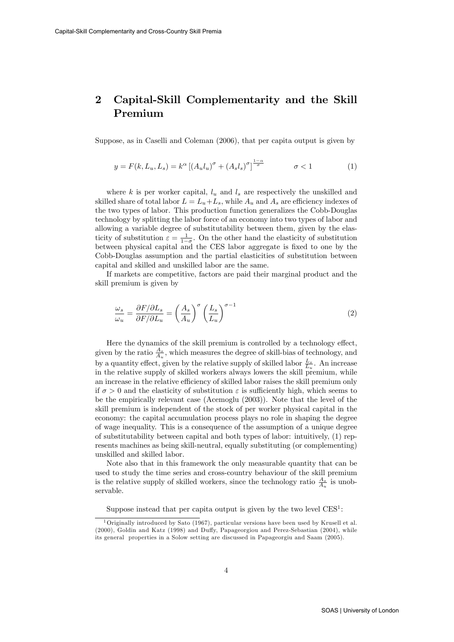### 2 Capital-Skill Complementarity and the Skill Premium

Suppose, as in Caselli and Coleman (2006), that per capita output is given by

$$
y = F(k, L_u, L_s) = k^{\alpha} \left[ \left( A_u l_u \right)^{\sigma} + \left( A_s l_s \right)^{\sigma} \right]^{\frac{1-\alpha}{\sigma}} \qquad \sigma < 1 \tag{1}
$$

where k is per worker capital,  $l_u$  and  $l_s$  are respectively the unskilled and skilled share of total labor  $L = L_u + L_s$ , while  $A_u$  and  $A_s$  are efficiency indexes of the two types of labor. This production function generalizes the Cobb-Douglas technology by splitting the labor force of an economy into two types of labor and allowing a variable degree of substitutability between them, given by the elasticity of substitution  $\varepsilon = \frac{1}{1-\sigma}$ . On the other hand the elasticity of substitution between physical capital and the CES labor aggregate is fixed to one by the Cobb-Douglas assumption and the partial elasticities of substitution between capital and skilled and unskilled labor are the same.

If markets are competitive, factors are paid their marginal product and the skill premium is given by

$$
\frac{\omega_s}{\omega_u} = \frac{\partial F/\partial L_s}{\partial F/\partial L_u} = \left(\frac{A_s}{A_u}\right)^\sigma \left(\frac{L_s}{L_u}\right)^{\sigma - 1} \tag{2}
$$

Here the dynamics of the skill premium is controlled by a technology effect, given by the ratio  $\frac{A_s}{A_u}$ , which measures the degree of skill-bias of technology, and by a quantity effect, given by the relative supply of skilled labor  $\frac{L_s}{L_u}$ . An increase in the relative supply of skilled workers always lowers the skill premium, while an increase in the relative efficiency of skilled labor raises the skill premium only if  $\sigma > 0$  and the elasticity of substitution  $\varepsilon$  is sufficiently high, which seems to be the empirically relevant case (Acemoglu (2003)). Note that the level of the skill premium is independent of the stock of per worker physical capital in the economy: the capital accumulation process plays no role in shaping the degree of wage inequality. This is a consequence of the assumption of a unique degree of substitutability between capital and both types of labor: intuitively, (1) represents machines as being skill-neutral, equally substituting (or complementing) unskilled and skilled labor.

Note also that in this framework the only measurable quantity that can be used to study the time series and cross-country behaviour of the skill premium is the relative supply of skilled workers, since the technology ratio  $\frac{A_s}{A_u}$  is unobservable.

Suppose instead that per capita output is given by the two level  $CES^1$ :

<sup>1</sup>Originally introduced by Sato (1967), particular versions have been used by Krusell et al.  $(2000)$ , Goldin and Katz  $(1998)$  and Duffy, Papageorgiou and Perez-Sebastian  $(2004)$ , while its general properties in a Solow setting are discussed in Papageorgiu and Saam (2005).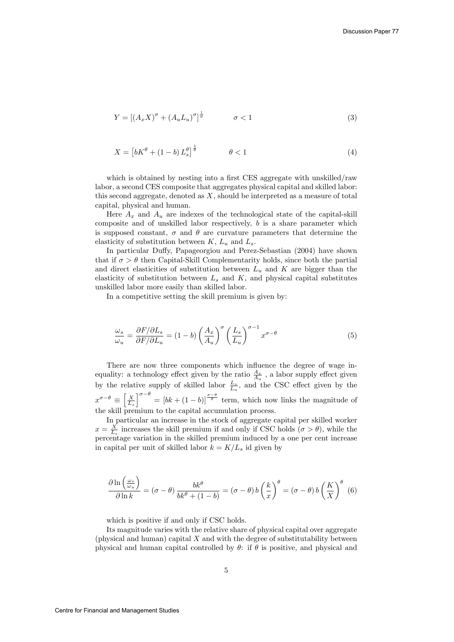$$
Y = \left[ \left( A_x X \right)^\sigma + \left( A_u L_u \right)^\sigma \right]^\frac{1}{\sigma} \qquad \sigma < 1 \tag{3}
$$

$$
X = \left[ bK^{\theta} + (1 - b)L_s^{\theta} \right]^{\frac{1}{\theta}} \qquad \theta < 1 \tag{4}
$$

which is obtained by nesting into a first CES aggregate with unskilled/raw labor, a second CES composite that aggregates physical capital and skilled labor: this second aggregate, denoted as  $X$ , should be interpreted as a measure of total capital, physical and human.

Here  $A_x$  and  $A_y$  are indexes of the technological state of the capital-skill composite and of unskilled labor respectively,  $b$  is a share parameter which is supposed constant,  $\sigma$  and  $\theta$  are curvature parameters that determine the elasticity of substitution between  $K, L_u$  and  $L_s$ .

In particular Duffy, Papageorgiou and Perez-Sebastian (2004) have shown that if  $\sigma > \theta$  then Capital-Skill Complementarity holds, since both the partial and direct elasticities of substitution between  $L_u$  and K are bigger than the elasticity of substitution between  $L_s$  and  $K$ , and physical capital substitutes unskilled labor more easily than skilled labor.

In a competitive setting the skill premium is given by:

$$
\frac{\omega_s}{\omega_u} = \frac{\partial F/\partial L_s}{\partial F/\partial L_u} = (1 - b) \left(\frac{A_x}{A_u}\right)^\sigma \left(\frac{L_s}{L_u}\right)^{\sigma - 1} x^{\sigma - \theta} \tag{5}
$$

There are now three components which influence the degree of wage inequality: a technology effect given by the ratio  $\frac{A_x}{A_u}$ , a labor supply effect given by the relative supply of skilled labor  $\frac{L_s}{L_u}$ , and the CSC effect given by the  $x^{\sigma-\theta} \equiv \left[\frac{X}{L_s}\right]$  $\int_{0}^{\infty-1} e^{-\theta} = [bk + (1-b)]^{\frac{\sigma-\theta}{\theta}}$  term, which now links the magnitude of the skill premium to the capital accumulation process.

In particular an increase in the stock of aggregate capital per skilled worker  $x = \frac{X}{L_s}$  increases the skill premium if and only if CSC holds  $(\sigma > \theta)$ , while the percentage variation in the skilled premium induced by a one per cent increase in capital per unit of skilled labor  $k = K/L_s$  id given by

$$
\frac{\partial \ln\left(\frac{\omega_s}{\omega_u}\right)}{\partial \ln k} = (\sigma - \theta) \frac{bk^{\theta}}{bk^{\theta} + (1 - b)} = (\sigma - \theta) b \left(\frac{k}{x}\right)^{\theta} = (\sigma - \theta) b \left(\frac{K}{X}\right)^{\theta} (6)
$$

which is positive if and only if CSC holds.

Its magnitude varies with the relative share of physical capital over aggregate (physical and human) capital  $X$  and with the degree of substitutability between physical and human capital controlled by  $\theta$ : if  $\theta$  is positive, and physical and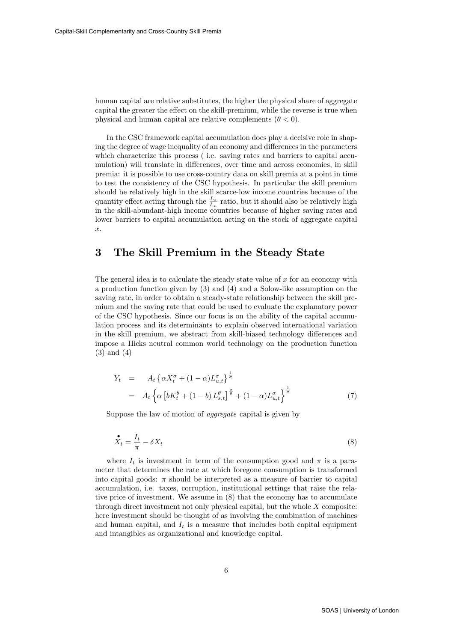human capital are relative substitutes, the higher the physical share of aggregate capital the greater the effect on the skill-premium, while the reverse is true when physical and human capital are relative complements  $(\theta < 0)$ .

In the CSC framework capital accumulation does play a decisive role in shaping the degree of wage inequality of an economy and differences in the parameters which characterize this process ( i.e. saving rates and barriers to capital accumulation) will translate in differences, over time and across economies, in skill premia: it is possible to use cross-country data on skill premia at a point in time to test the consistency of the CSC hypothesis. In particular the skill premium should be relatively high in the skill scarce-low income countries because of the quantity effect acting through the  $\frac{L_s}{L_u}$  ratio, but it should also be relatively high in the skill-abundant-high income countries because of higher saving rates and lower barriers to capital accumulation acting on the stock of aggregate capital  $\hat{x}$ .

#### 3 The Skill Premium in the Steady State

The general idea is to calculate the steady state value of  $x$  for an economy with a production function given by (3) and (4) and a Solow-like assumption on the saving rate, in order to obtain a steady-state relationship between the skill premium and the saving rate that could be used to evaluate the explanatory power of the CSC hypothesis. Since our focus is on the ability of the capital accumulation process and its determinants to explain observed international variation in the skill premium, we abstract from skill-biased technology differences and impose a Hicks neutral common world technology on the production function (3) and (4)

$$
Y_t = A_t \left\{ \alpha X_t^{\sigma} + (1 - \alpha) L_{u,t}^{\sigma} \right\}^{\frac{1}{\sigma}}
$$
  
=  $A_t \left\{ \alpha \left[ b K_t^{\theta} + (1 - b) L_{s,t}^{\theta} \right]^{\frac{\sigma}{\theta}} + (1 - \alpha) L_{u,t}^{\sigma} \right\}^{\frac{1}{\sigma}}$  (7)

Suppose the law of motion of aggregate capital is given by

$$
\mathring{X}_t = \frac{I_t}{\pi} - \delta X_t \tag{8}
$$

where  $I_t$  is investment in term of the consumption good and  $\pi$  is a parameter that determines the rate at which foregone consumption is transformed into capital goods:  $\pi$  should be interpreted as a measure of barrier to capital accumulation, i.e. taxes, corruption, institutional settings that raise the relative price of investment. We assume in (8) that the economy has to accumulate through direct investment not only physical capital, but the whole X composite: here investment should be thought of as involving the combination of machines and human capital, and  $I_t$  is a measure that includes both capital equipment and intangibles as organizational and knowledge capital.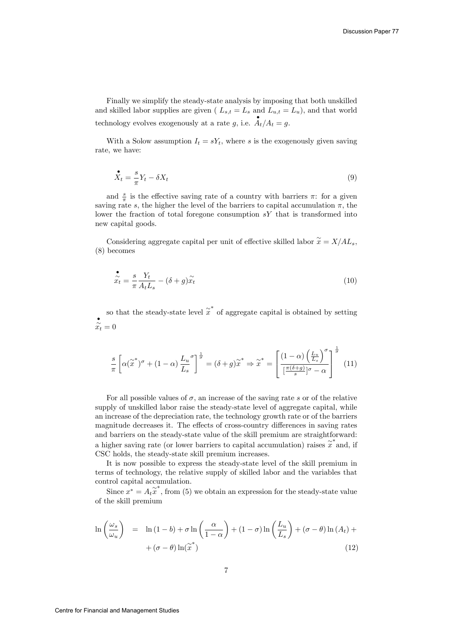Finally we simplify the steady-state analysis by imposing that both unskilled and skilled labor supplies are given ( $L_{s,t} = L_s$  and  $L_{u,t} = L_u$ ), and that world technology evolves exogenously at a rate g, i.e.  $A_t/A_t = g$ .

With a Solow assumption  $I_t = sY_t$ , where s is the exogenously given saving rate, we have:

$$
\mathring{X}_t = \frac{s}{\pi} Y_t - \delta X_t \tag{9}
$$

and  $\frac{s}{\pi}$  is the effective saving rate of a country with barriers  $\pi$ : for a given saving rate s, the higher the level of the barriers to capital accumulation  $\pi$ , the lower the fraction of total foregone consumption  $sY$  that is transformed into new capital goods.

Considering aggregate capital per unit of effective skilled labor  $\widetilde{x} = X/AL_s$ , (8) becomes

$$
\tilde{\tilde{x}}_t = \frac{s}{\pi} \frac{Y_t}{A_t L_s} - (\delta + g) \tilde{x}_t \tag{10}
$$

so that the steady-state level  $\tilde{x}^*$  of aggregate capital is obtained by setting  $\sum_{t=0}^{\infty}$ 

$$
\frac{s}{\pi} \left[ \alpha(\widetilde{x}^*)^{\sigma} + (1 - \alpha) \frac{L_u}{L_s}^{\sigma} \right]^{\frac{1}{\sigma}} = (\delta + g) \widetilde{x}^* \Rightarrow \widetilde{x}^* = \left[ \frac{(1 - \alpha) \left( \frac{L_u}{L_s} \right)^{\sigma}}{\left[ \frac{\pi(\delta + g)}{s} \right]^{\sigma} - \alpha} \right]^{\frac{1}{\sigma}} \tag{11}
$$

For all possible values of  $\sigma$ , an increase of the saving rate s or of the relative supply of unskilled labor raise the steady-state level of aggregate capital, while an increase of the depreciation rate, the technology growth rate or of the barriers magnitude decreases it. The effects of cross-country differences in saving rates and barriers on the steady-state value of the skill premium are straightforward: a higher saving rate (or lower barriers to capital accumulation) raises  $\tilde{x}^*$  and, if CSC holds, the steady-state skill premium increases.

It is now possible to express the steady-state level of the skill premium in terms of technology, the relative supply of skilled labor and the variables that control capital accumulation.

Since  $x^* = A_t \tilde{x}^*$ , from (5) we obtain an expression for the steady-state value of the skill premium

$$
\ln\left(\frac{\omega_s}{\omega_u}\right) = \ln\left(1-b\right) + \sigma \ln\left(\frac{\alpha}{1-\alpha}\right) + \left(1-\sigma\right)\ln\left(\frac{L_u}{L_s}\right) + \left(\sigma-\theta\right)\ln\left(A_t\right) + \left(\sigma-\theta\right)\ln\left(\tilde{x}^*\right) \tag{12}
$$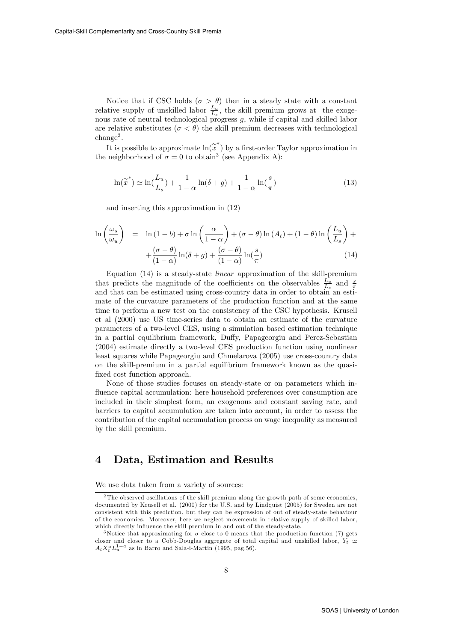Notice that if CSC holds ( $\sigma > \theta$ ) then in a steady state with a constant relative supply of unskilled labor  $\frac{L_u}{L_s}$ , the skill premium grows at the exogenous rate of neutral technological progress g, while if capital and skilled labor are relative substitutes ( $\sigma < \theta$ ) the skill premium decreases with technological  $\text{change}^2$ .

It is possible to approximate  $\ln(x^*)$  by a first-order Taylor approximation in the neighborhood of  $\sigma = 0$  to obtain<sup>3</sup> (see Appendix A):

$$
\ln(\tilde{x}^*) \simeq \ln(\frac{L_u}{L_s}) + \frac{1}{1-\alpha}\ln(\delta+g) + \frac{1}{1-\alpha}\ln(\frac{s}{\pi})
$$
\n(13)

and inserting this approximation in (12)

$$
\ln\left(\frac{\omega_s}{\omega_u}\right) = \ln(1-b) + \sigma \ln\left(\frac{\alpha}{1-\alpha}\right) + (\sigma-\theta)\ln(A_t) + (1-\theta)\ln\left(\frac{L_u}{L_s}\right) + \frac{(\sigma-\theta)}{(1-\alpha)}\ln(\delta+g) + \frac{(\sigma-\theta)}{(1-\alpha)}\ln(\frac{s}{\pi})
$$
\n(14)

Equation (14) is a steady-state linear approximation of the skill-premium that predicts the magnitude of the coefficients on the observables  $\frac{L_u}{L_s}$  and  $\frac{s}{\pi}$ and that can be estimated using cross-country data in order to obtain an estimate of the curvature parameters of the production function and at the same time to perform a new test on the consistency of the CSC hypothesis. Krusell et al (2000) use US time-series data to obtain an estimate of the curvature parameters of a two-level CES, using a simulation based estimation technique in a partial equilibrium framework, Duffy, Papageorgiu and Perez-Sebastian (2004) estimate directly a two-level CES production function using nonlinear least squares while Papageorgiu and Chmelarova (2005) use cross-country data on the skill-premium in a partial equilibrium framework known as the quasifixed cost function approach.

None of those studies focuses on steady-state or on parameters which influence capital accumulation: here household preferences over consumption are included in their simplest form, an exogenous and constant saving rate, and barriers to capital accumulation are taken into account, in order to assess the contribution of the capital accumulation process on wage inequality as measured by the skill premium.

#### 4 Data, Estimation and Results

We use data taken from a variety of sources:

<sup>&</sup>lt;sup>2</sup>The observed oscillations of the skill premium along the growth path of some economies, documented by Krusell et al. (2000) for the U.S. and by Lindquist (2005) for Sweden are not consistent with this prediction, but they can be expression of out of steady-state behaviour of the economies. Moreover, here we neglect movements in relative supply of skilled labor, which directly influence the skill premium in and out of the steady-state.

<sup>&</sup>lt;sup>3</sup>Notice that approximating for  $\sigma$  close to 0 means that the production function (7) gets closer and closer to a Cobb-Douglas aggregate of total capital and unskilled labor,  $Y_t \simeq$  $A_t X_t^a L_u^{1-a}$  as in Barro and Sala-i-Martin (1995, pag.56).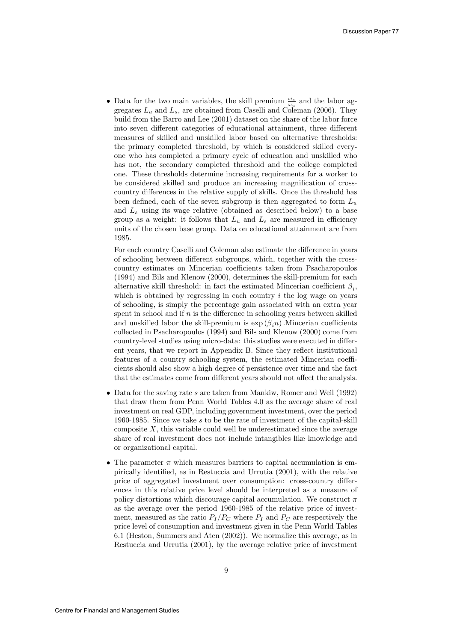• Data for the two main variables, the skill premium  $\frac{\omega_s}{\omega_u}$  and the labor aggregates  $L_u$  and  $L_s$ , are obtained from Caselli and Coleman (2006). They build from the Barro and Lee (2001) dataset on the share of the labor force into seven different categories of educational attainment, three different measures of skilled and unskilled labor based on alternative thresholds: the primary completed threshold, by which is considered skilled everyone who has completed a primary cycle of education and unskilled who has not, the secondary completed threshold and the college completed one. These thresholds determine increasing requirements for a worker to be considered skilled and produce an increasing magnification of crosscountry differences in the relative supply of skills. Once the threshold has been defined, each of the seven subgroup is then aggregated to form  $L_u$ and  $L<sub>s</sub>$  using its wage relative (obtained as described below) to a base group as a weight: it follows that  $L_u$  and  $L_s$  are measured in efficiency units of the chosen base group. Data on educational attainment are from 1985.

For each country Caselli and Coleman also estimate the difference in years of schooling between different subgroups, which, together with the crosscountry estimates on Mincerian coefficients taken from Psacharopoulos (1994) and Bils and Klenow (2000), determines the skill-premium for each alternative skill threshold: in fact the estimated Mincerian coefficient  $\beta_i$ , which is obtained by regressing in each country  $i$  the log wage on years of schooling, is simply the percentage gain associated with an extra year spent in school and if  $n$  is the difference in schooling years between skilled and unskilled labor the skill-premium is  $\exp(\beta_i n)$ . Mincerian coefficients collected in Psacharopoulos (1994) and Bils and Klenow (2000) come from country-level studies using micro-data: this studies were executed in different years, that we report in Appendix B. Since they reflect institutional features of a country schooling system, the estimated Mincerian coefficients should also show a high degree of persistence over time and the fact that the estimates come from different years should not affect the analysis.

- $\bullet$  Data for the saving rate s are taken from Mankiw, Romer and Weil (1992) that draw them from Penn World Tables 4.0 as the average share of real investment on real GDP, including government investment, over the period 1960-1985. Since we take s to be the rate of investment of the capital-skill composite  $X$ , this variable could well be underestimated since the average share of real investment does not include intangibles like knowledge and or organizational capital.
- The parameter  $\pi$  which measures barriers to capital accumulation is empirically identified, as in Restuccia and Urrutia  $(2001)$ , with the relative price of aggregated investment over consumption: cross-country differences in this relative price level should be interpreted as a measure of policy distortions which discourage capital accumulation. We construct  $\pi$ as the average over the period 1960-1985 of the relative price of investment, measured as the ratio  $P_I/P_C$  where  $P_I$  and  $P_C$  are respectively the price level of consumption and investment given in the Penn World Tables 6.1 (Heston, Summers and Aten (2002)). We normalize this average, as in Restuccia and Urrutia (2001), by the average relative price of investment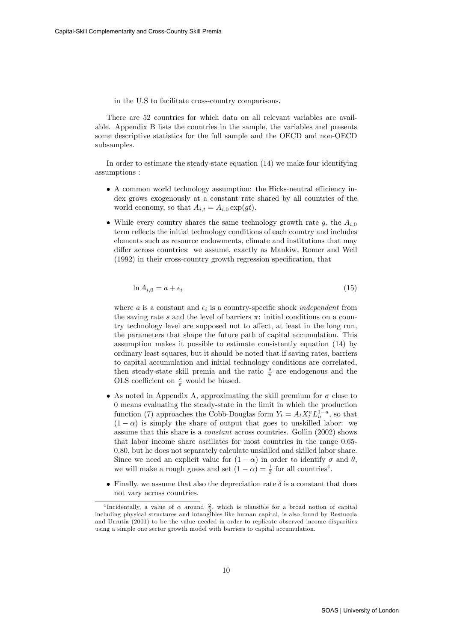in the U.S to facilitate cross-country comparisons.

There are 52 countries for which data on all relevant variables are available. Appendix B lists the countries in the sample, the variables and presents some descriptive statistics for the full sample and the OECD and non-OECD subsamples.

In order to estimate the steady-state equation (14) we make four identifying assumptions :

- $\bullet$  A common world technology assumption: the Hicks-neutral efficiency index grows exogenously at a constant rate shared by all countries of the world economy, so that  $A_{i,t} = A_{i,0} \exp(gt)$ .
- While every country shares the same technology growth rate g, the  $A_{i,0}$ term reflects the initial technology conditions of each country and includes elements such as resource endowments, climate and institutions that may differ across countries: we assume, exactly as Mankiw, Romer and Weil  $(1992)$  in their cross-country growth regression specification, that

$$
\ln A_{i,0} = a + \epsilon_i \tag{15}
$$

where a is a constant and  $\epsilon_i$  is a country-specific shock *independent* from the saving rate s and the level of barriers  $\pi$ : initial conditions on a country technology level are supposed not to affect, at least in the long run, the parameters that shape the future path of capital accumulation. This assumption makes it possible to estimate consistently equation (14) by ordinary least squares, but it should be noted that if saving rates, barriers to capital accumulation and initial technology conditions are correlated, then steady-state skill premia and the ratio  $\frac{s}{\pi}$  are endogenous and the OLS coefficient on  $\frac{s}{\pi}$  would be biased.

- As noted in Appendix A, approximating the skill premium for  $\sigma$  close to 0 means evaluating the steady-state in the limit in which the production function (7) approaches the Cobb-Douglas form  $Y_t = A_t X_t^a L_u^{1-a}$ , so that  $(1 - \alpha)$  is simply the share of output that goes to unskilled labor: we assume that this share is a constant across countries. Gollin (2002) shows that labor income share oscillates for most countries in the range 0.65- 0.80, but he does not separately calculate unskilled and skilled labor share. Since we need an explicit value for  $(1 - \alpha)$  in order to identify  $\sigma$  and  $\theta$ , we will make a rough guess and set  $(1 - \alpha) = \frac{1}{3}$  for all countries<sup>4</sup>.
- Finally, we assume that also the depreciation rate  $\delta$  is a constant that does not vary across countries.

<sup>&</sup>lt;sup>4</sup>Incidentally, a value of  $\alpha$  around  $\frac{2}{3}$ , which is plausible for a broad notion of capital including physical structures and intangibles like human capital, is also found by Restuccia and Urrutia (2001) to be the value needed in order to replicate observed income disparities using a simple one sector growth model with barriers to capital accumulation.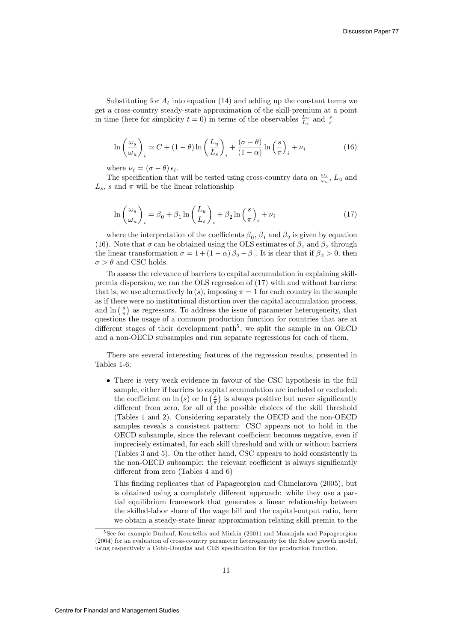Substituting for  $A_t$  into equation (14) and adding up the constant terms we get a cross-country steady-state approximation of the skill-premium at a point in time (here for simplicity  $t = 0$ ) in terms of the observables  $\frac{L_u}{L_s}$  and  $\frac{s}{\pi}$ 

$$
\ln\left(\frac{\omega_s}{\omega_u}\right)_i \simeq C + (1-\theta)\ln\left(\frac{L_u}{L_s}\right)_i + \frac{(\sigma-\theta)}{(1-\alpha)}\ln\left(\frac{s}{\pi}\right)_i + \nu_i \tag{16}
$$

where  $\nu_i = (\sigma - \theta) \epsilon_i$ .

The specification that will be tested using cross-country data on  $\frac{\omega_s}{\omega_u}$ ,  $L_u$  and  $L_s$ , s and  $\pi$  will be the linear relationship

$$
\ln\left(\frac{\omega_s}{\omega_u}\right)_i = \beta_0 + \beta_1 \ln\left(\frac{L_u}{L_s}\right)_i + \beta_2 \ln\left(\frac{s}{\pi}\right)_i + \nu_i \tag{17}
$$

where the interpretation of the coefficients  $\beta_0$ ,  $\beta_1$  and  $\beta_2$  is given by equation (16). Note that  $\sigma$  can be obtained using the OLS estimates of  $\beta_1$  and  $\beta_2$  through the linear transformation  $\sigma = 1 + (1 - \alpha) \beta_2 - \beta_1$ . It is clear that if  $\beta_2 > 0$ , then  $\sigma > \theta$  and CSC holds.

To assess the relevance of barriers to capital accumulation in explaining skillpremia dispersion, we ran the OLS regression of (17) with and without barriers: that is, we use alternatively  $\ln(s)$ , imposing  $\pi = 1$  for each country in the sample as if there were no institutional distortion over the capital accumulation process, and  $\ln\left(\frac{s}{\pi}\right)$  as regressors. To address the issue of parameter heterogeneity, that questions the usage of a common production function for countries that are at different stages of their development path<sup>5</sup>, we split the sample in an OECD and a non-OECD subsamples and run separate regressions for each of them.

There are several interesting features of the regression results, presented in Tables 1-6:

 There is very weak evidence in favour of the CSC hypothesis in the full sample, either if barriers to capital accumulation are included or excluded: the coefficient on  $\ln(s)$  or  $\ln\left(\frac{s}{\pi}\right)$  is always positive but never significantly different from zero, for all of the possible choices of the skill threshold (Tables 1 and 2). Considering separately the OECD and the non-OECD samples reveals a consistent pattern: CSC appears not to hold in the OECD subsample, since the relevant coefficient becomes negative, even if imprecisely estimated, for each skill threshold and with or without barriers (Tables 3 and 5). On the other hand, CSC appears to hold consistently in the non-OECD subsample: the relevant coefficient is always significantly different from zero (Tables  $4$  and  $6$ )

This finding replicates that of Papageorgiou and Chmelarova (2005), but is obtained using a completely different approach: while they use a partial equilibrium framework that generates a linear relationship between the skilled-labor share of the wage bill and the capital-output ratio, here we obtain a steady-state linear approximation relating skill premia to the

<sup>5</sup> See for example Durlauf, Kourtellos and Minkin (2001) and Masanjala and Papageorgiou (2004) for an evaluation of cross-country parameter heterogeneity for the Solow growth model, using respectively a Cobb-Douglas and CES specification for the production function.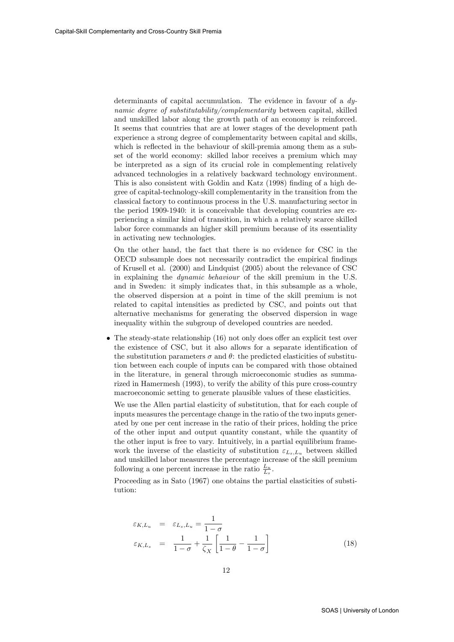determinants of capital accumulation. The evidence in favour of a dynamic degree of substitutability/complementarity between capital, skilled and unskilled labor along the growth path of an economy is reinforced. It seems that countries that are at lower stages of the development path experience a strong degree of complementarity between capital and skills, which is reflected in the behaviour of skill-premia among them as a subset of the world economy: skilled labor receives a premium which may be interpreted as a sign of its crucial role in complementing relatively advanced technologies in a relatively backward technology environment. This is also consistent with Goldin and Katz (1998) finding of a high degree of capital-technology-skill complementarity in the transition from the classical factory to continuous process in the U.S. manufacturing sector in the period 1909-1940: it is conceivable that developing countries are experiencing a similar kind of transition, in which a relatively scarce skilled labor force commands an higher skill premium because of its essentiality in activating new technologies.

On the other hand, the fact that there is no evidence for CSC in the OECD subsample does not necessarily contradict the empirical Öndings of Krusell et al. (2000) and Lindquist (2005) about the relevance of CSC in explaining the dynamic behaviour of the skill premium in the U.S. and in Sweden: it simply indicates that, in this subsample as a whole, the observed dispersion at a point in time of the skill premium is not related to capital intensities as predicted by CSC, and points out that alternative mechanisms for generating the observed dispersion in wage inequality within the subgroup of developed countries are needed.

 $\bullet$  The steady-state relationship (16) not only does offer an explicit test over the existence of CSC, but it also allows for a separate identification of the substitution parameters  $\sigma$  and  $\theta$ : the predicted elasticities of substitution between each couple of inputs can be compared with those obtained in the literature, in general through microeconomic studies as summarized in Hamermesh (1993), to verify the ability of this pure cross-country macroeconomic setting to generate plausible values of these elasticities.

We use the Allen partial elasticity of substitution, that for each couple of inputs measures the percentage change in the ratio of the two inputs generated by one per cent increase in the ratio of their prices, holding the price of the other input and output quantity constant, while the quantity of the other input is free to vary. Intuitively, in a partial equilibrium framework the inverse of the elasticity of substitution  $\varepsilon_{L_s,L_u}$  between skilled and unskilled labor measures the percentage increase of the skill premium following a one percent increase in the ratio  $\frac{L_u}{L_s}$ .

Proceeding as in Sato (1967) one obtains the partial elasticities of substitution:

$$
\varepsilon_{K,L_u} = \varepsilon_{L_s,L_u} = \frac{1}{1-\sigma}
$$
\n
$$
\varepsilon_{K,L_s} = \frac{1}{1-\sigma} + \frac{1}{\zeta_X} \left[ \frac{1}{1-\theta} - \frac{1}{1-\sigma} \right]
$$
\n(18)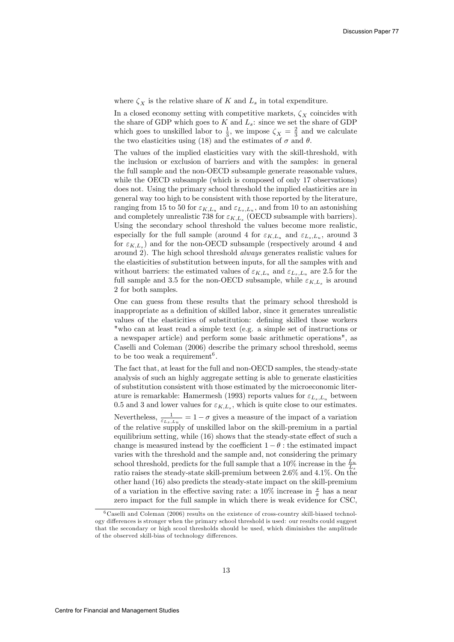where  $\zeta_X$  is the relative share of K and  $L_s$  in total expenditure.

In a closed economy setting with competitive markets,  $\zeta_X$  coincides with the share of GDP which goes to  $K$  and  $L_s$ : since we set the share of GDP which goes to unskilled labor to  $\frac{1}{3}$ , we impose  $\zeta_X = \frac{2}{3}$  and we calculate the two elasticities using (18) and the estimates of  $\sigma$  and  $\theta$ .

The values of the implied elasticities vary with the skill-threshold, with the inclusion or exclusion of barriers and with the samples: in general the full sample and the non-OECD subsample generate reasonable values, while the OECD subsample (which is composed of only 17 observations) does not. Using the primary school threshold the implied elasticities are in general way too high to be consistent with those reported by the literature, ranging from 15 to 50 for  $\varepsilon_{K,L_u}$  and  $\varepsilon_{L_s,L_u}$ , and from 10 to an astonishing and completely unrealistic 738 for  $\varepsilon_{K,L_s}$  (OECD subsample with barriers). Using the secondary school threshold the values become more realistic, especially for the full sample (around 4 for  $\varepsilon_{K,L_u}$  and  $\varepsilon_{L_s,L_u}$ , around 3 for  $\varepsilon_{K,L_s}$ ) and for the non-OECD subsample (respectively around 4 and around 2). The high school threshold always generates realistic values for the elasticities of substitution between inputs, for all the samples with and without barriers: the estimated values of  $\varepsilon_{K,L_u}$  and  $\varepsilon_{L_s,L_u}$  are 2.5 for the full sample and 3.5 for the non-OECD subsample, while  $\varepsilon_{K,L_s}$  is around 2 for both samples.

One can guess from these results that the primary school threshold is inappropriate as a definition of skilled labor, since it generates unrealistic values of the elasticities of substitution: defining skilled those workers "who can at least read a simple text (e.g. a simple set of instructions or a newspaper article) and perform some basic arithmetic operations", as Caselli and Coleman (2006) describe the primary school threshold, seems to be too weak a requirement<sup>6</sup>.

The fact that, at least for the full and non-OECD samples, the steady-state analysis of such an highly aggregate setting is able to generate elasticities of substitution consistent with those estimated by the microeconomic literature is remarkable: Hamermesh (1993) reports values for  $\varepsilon_{L_s,L_u}$  between 0.5 and 3 and lower values for  $\varepsilon_{K,L_s}$ , which is quite close to our estimates. Nevertheless,  $\frac{1}{\varepsilon_{L_s,L_u}} = 1 - \sigma$  gives a measure of the impact of a variation of the relative supply of unskilled labor on the skill-premium in a partial equilibrium setting, while  $(16)$  shows that the steady-state effect of such a change is measured instead by the coefficient  $1 - \theta$ : the estimated impact varies with the threshold and the sample and, not considering the primary school threshold, predicts for the full sample that a 10% increase in the  $\frac{L_u}{L_s}$ ratio raises the steady-state skill-premium between 2.6% and 4.1%. On the other hand (16) also predicts the steady-state impact on the skill-premium of a variation in the effective saving rate: a 10% increase in  $\frac{s}{\pi}$  has a near zero impact for the full sample in which there is weak evidence for CSC,

<sup>6</sup> Caselli and Coleman (2006) results on the existence of cross-country skill-biased technology differences is stronger when the primary school threshold is used: our results could suggest that the secondary or high scool thresholds should be used, which diminishes the amplitude of the observed skill-bias of technology differences.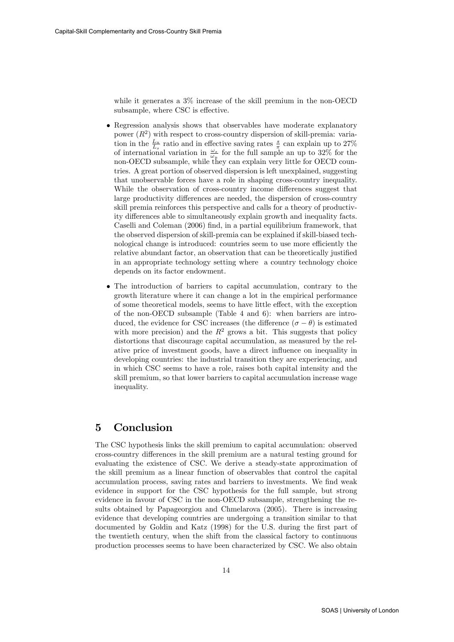while it generates a 3% increase of the skill premium in the non-OECD subsample, where CSC is effective.

- Regression analysis shows that observables have moderate explanatory power  $(R<sup>2</sup>)$  with respect to cross-country dispersion of skill-premia: variation in the  $\frac{L_u}{L_s}$  ratio and in effective saving rates  $\frac{s}{\pi}$  can explain up to 27% of international variation in  $\frac{\omega_s}{\omega_u}$  for the full sample an up to 32% for the non-OECD subsample, while they can explain very little for OECD countries. A great portion of observed dispersion is left unexplained, suggesting that unobservable forces have a role in shaping cross-country inequality. While the observation of cross-country income differences suggest that large productivity differences are needed, the dispersion of cross-country skill premia reinforces this perspective and calls for a theory of productivity differences able to simultaneously explain growth and inequality facts. Caselli and Coleman (2006) find, in a partial equilibrium framework, that the observed dispersion of skill-premia can be explained if skill-biased technological change is introduced: countries seem to use more efficiently the relative abundant factor, an observation that can be theoretically justified in an appropriate technology setting where a country technology choice depends on its factor endowment.
- The introduction of barriers to capital accumulation, contrary to the growth literature where it can change a lot in the empirical performance of some theoretical models, seems to have little effect, with the exception of the non-OECD subsample (Table 4 and 6): when barriers are introduced, the evidence for CSC increases (the difference  $(\sigma - \theta)$ ) is estimated with more precision) and the  $R^2$  grows a bit. This suggests that policy distortions that discourage capital accumulation, as measured by the relative price of investment goods, have a direct influence on inequality in developing countries: the industrial transition they are experiencing, and in which CSC seems to have a role, raises both capital intensity and the skill premium, so that lower barriers to capital accumulation increase wage inequality.

### 5 Conclusion

The CSC hypothesis links the skill premium to capital accumulation: observed cross-country differences in the skill premium are a natural testing ground for evaluating the existence of CSC. We derive a steady-state approximation of the skill premium as a linear function of observables that control the capital accumulation process, saving rates and barriers to investments. We find weak evidence in support for the CSC hypothesis for the full sample, but strong evidence in favour of CSC in the non-OECD subsample, strengthening the results obtained by Papageorgiou and Chmelarova (2005). There is increasing evidence that developing countries are undergoing a transition similar to that documented by Goldin and Katz (1998) for the U.S. during the first part of the twentieth century, when the shift from the classical factory to continuous production processes seems to have been characterized by CSC. We also obtain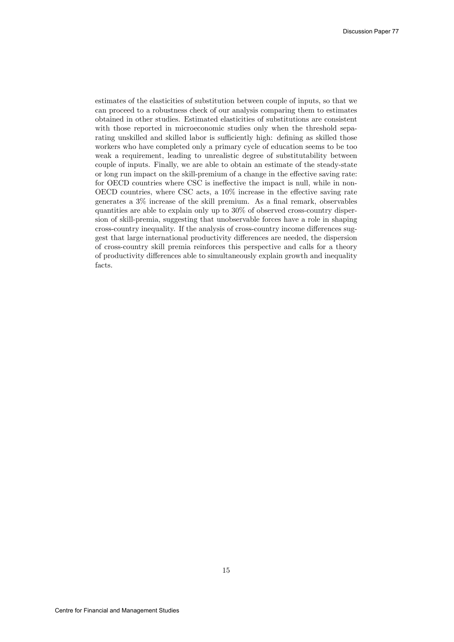estimates of the elasticities of substitution between couple of inputs, so that we can proceed to a robustness check of our analysis comparing them to estimates obtained in other studies. Estimated elasticities of substitutions are consistent with those reported in microeconomic studies only when the threshold separating unskilled and skilled labor is sufficiently high: defining as skilled those workers who have completed only a primary cycle of education seems to be too weak a requirement, leading to unrealistic degree of substitutability between couple of inputs. Finally, we are able to obtain an estimate of the steady-state or long run impact on the skill-premium of a change in the effective saving rate: for OECD countries where CSC is ineffective the impact is null, while in non-OECD countries, where CSC acts, a  $10\%$  increase in the effective saving rate generates a  $3\%$  increase of the skill premium. As a final remark, observables quantities are able to explain only up to 30% of observed cross-country dispersion of skill-premia, suggesting that unobservable forces have a role in shaping cross-country inequality. If the analysis of cross-country income differences suggest that large international productivity differences are needed, the dispersion of cross-country skill premia reinforces this perspective and calls for a theory of productivity differences able to simultaneously explain growth and inequality facts.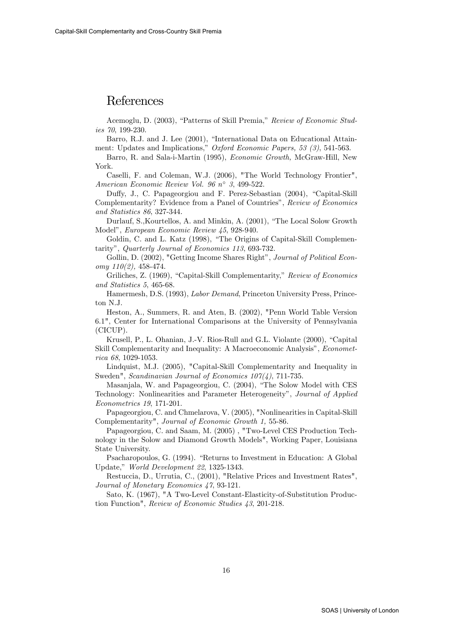### References

Acemoglu, D. (2003), "Patterns of Skill Premia," Review of Economic Studies 70, 199-230.

Barro, R.J. and J. Lee (2001), "International Data on Educational Attainment: Updates and Implications," Oxford Economic Papers, 53 (3), 541-563.

Barro, R. and Sala-i-Martin (1995), Economic Growth, McGraw-Hill, New York.

Caselli, F. and Coleman, W.J. (2006), "The World Technology Frontier", American Economic Review Vol. 96  $n^{\circ}$  3, 499-522.

Duffy, J., C. Papageorgiou and F. Perez-Sebastian (2004), "Capital-Skill Complementarity? Evidence from a Panel of Countries", Review of Economics and Statistics 86, 327-344.

Durlauf, S., Kourtellos, A. and Minkin, A. (2001), "The Local Solow Growth Model", European Economic Review 45, 928-940.

Goldin, C. and L. Katz (1998), "The Origins of Capital-Skill Complementarity", Quarterly Journal of Economics 113, 693-732.

Gollin, D. (2002), "Getting Income Shares Right", Journal of Political Econ $omy 110(2), 458-474.$ 

Griliches, Z. (1969), "Capital-Skill Complementarity," Review of Economics and Statistics 5, 465-68.

Hamermesh, D.S. (1993), Labor Demand, Princeton University Press, Princeton N.J.

Heston, A., Summers, R. and Aten, B. (2002), "Penn World Table Version 6.1", Center for International Comparisons at the University of Pennsylvania (CICUP).

Krusell, P., L. Ohanian, J.-V. Rios-Rull and G.L. Violante (2000), "Capital Skill Complementarity and Inequality: A Macroeconomic Analysis", *Economet*rica 68, 1029-1053.

Lindquist, M.J. (2005), "Capital-Skill Complementarity and Inequality in Sweden", Scandinavian Journal of Economics  $107/4$ , 711-735.

Masanjala, W. and Papageorgiou, C. (2004), "The Solow Model with CES Technology: Nonlinearities and Parameter Heterogeneity", Journal of Applied Econometrics 19, 171-201.

Papageorgiou, C. and Chmelarova, V. (2005), "Nonlinearities in Capital-Skill Complementarity", Journal of Economic Growth 1, 55-86.

Papageorgiou, C. and Saam, M. (2005) , "Two-Level CES Production Technology in the Solow and Diamond Growth Models", Working Paper, Louisiana State University.

Psacharopoulos, G. (1994). "Returns to Investment in Education: A Global Update," World Development 22, 1325-1343.

Restuccia, D., Urrutia, C., (2001), "Relative Prices and Investment Rates", Journal of Monetary Economics 47, 93-121.

Sato, K. (1967), "A Two-Level Constant-Elasticity-of-Substitution Production Function", Review of Economic Studies 43, 201-218.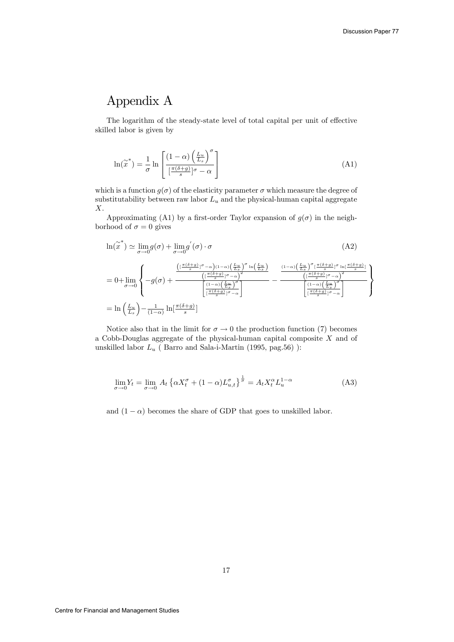## Appendix A

The logarithm of the steady-state level of total capital per unit of effective skilled labor is given by

$$
\ln(\widetilde{x}^*) = \frac{1}{\sigma} \ln \left[ \frac{(1-\alpha)\left(\frac{L_u}{L_s}\right)^{\sigma}}{\left[\frac{\pi(\delta+g)}{s}\right]^{\sigma} - \alpha} \right]
$$
(A1)

which is a function  $g(\sigma)$  of the elasticity parameter  $\sigma$  which measure the degree of substitutability between raw labor  $L_u$  and the physical-human capital aggregate  $\boldsymbol{X}.$ 

Approximating (A1) by a first-order Taylor expansion of  $g(\sigma)$  in the neighborhood of  $\sigma = 0$  gives

$$
\ln(\widetilde{x}^*) \simeq \lim_{\sigma \to 0} g(\sigma) + \lim_{\sigma \to 0} g'(\sigma) \cdot \sigma
$$
\n(A2)\n
$$
= 0 + \lim_{\sigma \to 0} \left\{ -g(\sigma) + \frac{\left( \frac{\pi(\delta + g)}{\delta} \right)^{\sigma} - \alpha \right) (1 - \alpha) \left( \frac{L_u}{L_s} \right)^{\sigma} \ln \left( \frac{L_u}{L_s} \right)}{\left( \frac{\pi(\delta + g)}{\delta} \right)^{\sigma} - \alpha \right\}^2} - \frac{\left( 1 - \alpha \right) \left( \frac{L_u}{L_s} \right)^{\sigma} \left( \frac{\pi(\delta + g)}{\delta} \right)^{\sigma} \ln \left( \frac{\pi(\delta + g)}{\delta} \right)}{\left( \frac{\pi(\delta + g)}{\delta} \right)^{\sigma} - \alpha \right\}}{1 - \frac{\left( 1 - \alpha \right) \left( \frac{L_u}{L_s} \right)^{\sigma} \left( \frac{\pi(\delta + g)}{\delta} \right)^{\sigma} - \alpha}{\left( \frac{\pi(\delta + g)}{\delta} \right)^{\sigma} - \alpha \right}}}
$$
\n
$$
= \ln\left(\frac{L_u}{L_s}\right) - \frac{1}{(1 - \alpha)} \ln \left[ \frac{\pi(\delta + g)}{s} \right]
$$
\n(A2)

Notice also that in the limit for  $\sigma \to 0$  the production function (7) becomes a Cobb-Douglas aggregate of the physical-human capital composite X and of unskilled labor  $L_u$  ( Barro and Sala-i-Martin (1995, pag.56) ):

$$
\lim_{\sigma \to 0} Y_t = \lim_{\sigma \to 0} A_t \left\{ \alpha X_t^{\sigma} + (1 - \alpha) L_{u,t}^{\sigma} \right\}^{\frac{1}{\sigma}} = A_t X_t^{\alpha} L_u^{1 - \alpha}
$$
\n(A3)

and  $(1 - \alpha)$  becomes the share of GDP that goes to unskilled labor.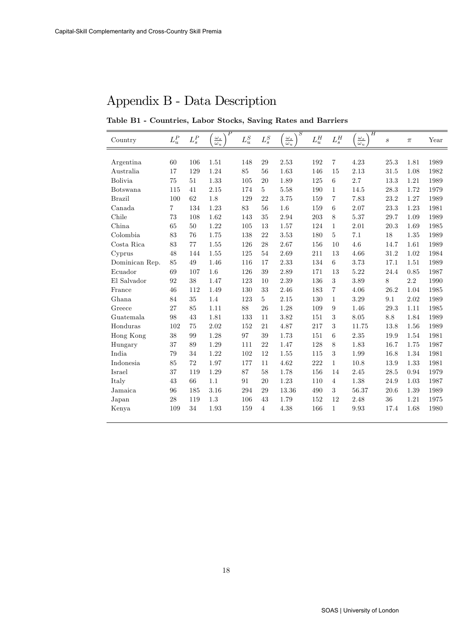# Appendix B - Data Description

Table B1 - Countries, Labor Stocks, Saving Rates and Barriers

| Country        | $L_u^P$ | ${\cal L}_s^P$ | Р<br>$\frac{\omega_s}{\omega_u}$ | $\mathcal{L}^S_u$ | ${\cal L}_s^S$ | $\scriptstyle S$<br>$\underline{\omega}_s$<br>$\omega_u$ | ${\cal L}_u^H$ | ${\cal L}_s^H$ | Η<br>$\underline{\omega_s}$<br>$\omega_u$ | $\boldsymbol{s}$ | $\pi$   | Year |
|----------------|---------|----------------|----------------------------------|-------------------|----------------|----------------------------------------------------------|----------------|----------------|-------------------------------------------|------------------|---------|------|
|                |         |                |                                  |                   |                |                                                          |                |                |                                           |                  |         |      |
| Argentina      | 60      | 106            | 1.51                             | 148               | 29             | 2.53                                                     | 192            | $\overline{7}$ | 4.23                                      | 25.3             | 1.81    | 1989 |
| Australia      | 17      | 129            | 1.24                             | 85                | 56             | 1.63                                                     | 146            | 15             | 2.13                                      | 31.5             | 1.08    | 1982 |
| <b>Bolivia</b> | 75      | 51             | 1.33                             | 105               | 20             | 1.89                                                     | 125            | 6              | 2.7                                       | 13.3             | 1.21    | 1989 |
| Botswana       | 115     | 41             | 2.15                             | 174               | $\overline{5}$ | 5.58                                                     | 190            | $\mathbf{1}$   | 14.5                                      | 28.3             | 1.72    | 1979 |
| <b>Brazil</b>  | 100     | 62             | 1.8                              | 129               | 22             | 3.75                                                     | 159            | 7              | 7.83                                      | 23.2             | 1.27    | 1989 |
| Canada         | 7       | 134            | 1.23                             | 83                | 56             | 1.6                                                      | 159            | 6              | 2.07                                      | 23.3             | 1.23    | 1981 |
| Chile          | 73      | 108            | 1.62                             | 143               | 35             | 2.94                                                     | 203            | 8              | 5.37                                      | 29.7             | 1.09    | 1989 |
| China          | 65      | 50             | 1.22                             | 105               | 13             | 1.57                                                     | 124            | $\mathbf 1$    | $2.01\,$                                  | 20.3             | 1.69    | 1985 |
| Colombia       | 83      | 76             | 1.75                             | 138               | 22             | 3.53                                                     | 180            | 5              | 7.1                                       | 18               | 1.35    | 1989 |
| Costa Rica     | 83      | 77             | 1.55                             | 126               | 28             | 2.67                                                     | 156            | 10             | 4.6                                       | 14.7             | 1.61    | 1989 |
| Cyprus         | 48      | 144            | 1.55                             | 125               | 54             | 2.69                                                     | 211            | 13             | 4.66                                      | 31.2             | 1.02    | 1984 |
| Dominican Rep. | 85      | 49             | 1.46                             | 116               | 17             | 2.33                                                     | 134            | 6              | 3.73                                      | 17.1             | 1.51    | 1989 |
| Ecuador        | 69      | 107            | 1.6                              | 126               | $39\,$         | 2.89                                                     | 171            | 13             | 5.22                                      | 24.4             | 0.85    | 1987 |
| El Salvador    | 92      | 38             | 1.47                             | 123               | 10             | 2.39                                                     | 136            | 3              | 3.89                                      | 8                | $2.2\,$ | 1990 |
| France         | 46      | 112            | 1.49                             | 130               | 33             | 2.46                                                     | 183            | 7              | 4.06                                      | 26.2             | 1.04    | 1985 |
| Ghana          | 84      | 35             | 1.4                              | 123               | 5              | 2.15                                                     | 130            | $\mathbf 1$    | 3.29                                      | 9.1              | 2.02    | 1989 |
| Greece         | 27      | 85             | 1.11                             | 88                | 26             | 1.28                                                     | 109            | 9              | 1.46                                      | 29.3             | 1.11    | 1985 |
| Guatemala      | 98      | 43             | 1.81                             | 133               | 11             | 3.82                                                     | 151            | 3              | 8.05                                      | 8.8              | 1.84    | 1989 |
| Honduras       | 102     | 75             | 2.02                             | 152               | 21             | 4.87                                                     | 217            | 3              | 11.75                                     | 13.8             | 1.56    | 1989 |
| Hong Kong      | $38\,$  | 99             | 1.28                             | 97                | 39             | 1.73                                                     | 151            | 6              | $2.35\,$                                  | 19.9             | 1.54    | 1981 |
| Hungary        | 37      | 89             | 1.29                             | 111               | 22             | 1.47                                                     | 128            | 8              | 1.83                                      | 16.7             | 1.75    | 1987 |
| India          | 79      | 34             | 1.22                             | 102               | 12             | 1.55                                                     | 115            | 3              | 1.99                                      | 16.8             | 1.34    | 1981 |
| Indonesia      | 85      | 72             | 1.97                             | 177               | 11             | 4.62                                                     | 222            | $\mathbf{1}$   | 10.8                                      | 13.9             | 1.33    | 1981 |
| Israel         | 37      | 119            | 1.29                             | 87                | 58             | 1.78                                                     | 156            | 14             | 2.45                                      | 28.5             | 0.94    | 1979 |
| Italy          | 43      | 66             | 1.1                              | 91                | 20             | 1.23                                                     | 110            | $\overline{4}$ | 1.38                                      | 24.9             | 1.03    | 1987 |
| Jamaica        | 96      | 185            | 3.16                             | 294               | 29             | 13.36                                                    | 490            | 3              | 56.37                                     | 20.6             | 1.39    | 1989 |
| Japan          | 28      | 119            | 1.3                              | 106               | 43             | 1.79                                                     | 152            | 12             | 2.48                                      | 36               | 1.21    | 1975 |
| Kenya          | 109     | 34             | 1.93                             | 159               | $\overline{4}$ | 4.38                                                     | 166            | $\mathbf{1}$   | 9.93                                      | 17.4             | 1.68    | 1980 |
|                |         |                |                                  |                   |                |                                                          |                |                |                                           |                  |         |      |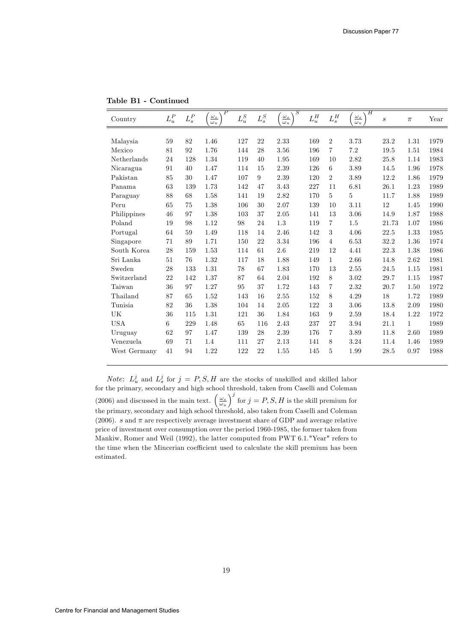| Country      | $L_u^P$ | $\mathcal{L}^P_s$ | $_{P}$<br>$\frac{\omega_s}{\omega_u}$ | $L_u^S$ | ${\cal L}_s^S$ | $\overline{S}$<br>$\frac{\omega_s}{\omega_u}$ | $L_u^H$ | ${\cal L}_s^H$ | H<br>$\underline{\omega_s}$<br>$\omega_u$ | $\boldsymbol{s}$ | $\pi$        | Year |
|--------------|---------|-------------------|---------------------------------------|---------|----------------|-----------------------------------------------|---------|----------------|-------------------------------------------|------------------|--------------|------|
|              |         |                   |                                       |         |                |                                               |         |                |                                           |                  |              |      |
| Malaysia     | 59      | 82                | 1.46                                  | 127     | 22             | 2.33                                          | 169     | $\overline{2}$ | 3.73                                      | 23.2             | 1.31         | 1979 |
| Mexico       | 81      | 92                | 1.76                                  | 144     | 28             | 3.56                                          | 196     | $\overline{7}$ | $7.2\,$                                   | 19.5             | 1.51         | 1984 |
| Netherlands  | 24      | 128               | 1.34                                  | 119     | 40             | 1.95                                          | 169     | 10             | 2.82                                      | 25.8             | 1.14         | 1983 |
| Nicaragua    | 91      | 40                | 1.47                                  | 114     | 15             | 2.39                                          | 126     | 6              | 3.89                                      | 14.5             | 1.96         | 1978 |
| Pakistan     | 85      | 30                | 1.47                                  | 107     | 9              | 2.39                                          | 120     | $\overline{2}$ | 3.89                                      | 12.2             | 1.86         | 1979 |
| Panama       | 63      | 139               | 1.73                                  | 142     | 47             | 3.43                                          | 227     | 11             | 6.81                                      | 26.1             | 1.23         | 1989 |
| Paraguay     | 88      | 68                | 1.58                                  | 141     | 19             | 2.82                                          | 170     | 5              | 5                                         | 11.7             | 1.88         | 1989 |
| Peru         | 65      | 75                | 1.38                                  | 106     | 30             | 2.07                                          | 139     | 10             | 3.11                                      | 12               | 1.45         | 1990 |
| Philippines  | 46      | 97                | 1.38                                  | 103     | 37             | 2.05                                          | 141     | 13             | 3.06                                      | 14.9             | 1.87         | 1988 |
| Poland       | 19      | 98                | 1.12                                  | 98      | 24             | 1.3                                           | 119     | $\overline{7}$ | 1.5                                       | 21.73            | 1.07         | 1986 |
| Portugal     | 64      | 59                | 1.49                                  | 118     | 14             | 2.46                                          | 142     | 3              | 4.06                                      | 22.5             | 1.33         | 1985 |
| Singapore    | 71      | 89                | 1.71                                  | 150     | 22             | 3.34                                          | 196     | $\overline{4}$ | 6.53                                      | 32.2             | 1.36         | 1974 |
| South Korea  | 28      | 159               | 1.53                                  | 114     | 61             | $2.6\,$                                       | 219     | 12             | 4.41                                      | 22.3             | 1.38         | 1986 |
| Sri Lanka    | 51      | 76                | 1.32                                  | 117     | 18             | 1.88                                          | 149     | $\mathbf{1}$   | 2.66                                      | 14.8             | 2.62         | 1981 |
| Sweden       | 28      | 133               | 1.31                                  | 78      | 67             | 1.83                                          | 170     | 13             | 2.55                                      | 24.5             | 1.15         | 1981 |
| Switzerland  | 22      | 142               | 1.37                                  | 87      | 64             | 2.04                                          | 192     | 8              | 3.02                                      | 29.7             | 1.15         | 1987 |
| Taiwan       | 36      | 97                | 1.27                                  | 95      | 37             | 1.72                                          | 143     | 7              | 2.32                                      | 20.7             | 1.50         | 1972 |
| Thailand     | 87      | 65                | 1.52                                  | 143     | 16             | 2.55                                          | 152     | 8              | 4.29                                      | 18               | 1.72         | 1989 |
| Tunisia      | 82      | 36                | 1.38                                  | 104     | 14             | 2.05                                          | 122     | 3              | 3.06                                      | 13.8             | 2.09         | 1980 |
| UK           | 36      | 115               | 1.31                                  | 121     | 36             | 1.84                                          | 163     | 9              | 2.59                                      | 18.4             | 1.22         | 1972 |
| <b>USA</b>   | 6       | 229               | 1.48                                  | 65      | 116            | 2.43                                          | 237     | 27             | 3.94                                      | 21.1             | $\mathbf{1}$ | 1989 |
| Uruguay      | 62      | 97                | 1.47                                  | 139     | 28             | 2.39                                          | 176     | $\overline{7}$ | 3.89                                      | 11.8             | 2.60         | 1989 |
| Venezuela    | 69      | 71                | 1.4                                   | 111     | 27             | 2.13                                          | 141     | 8              | 3.24                                      | 11.4             | 1.46         | 1989 |
| West Germany | 41      | 94                | 1.22                                  | 122     | 22             | 1.55                                          | 145     | 5              | 1.99                                      | 28.5             | 0.97         | 1988 |

Table B1 - Continued

*Note:*  $L_n^j$  and  $L_s^j$  for  $j = P, S, H$  are the stocks of unskilled and skilled labor For the primary, secondary and high school threshold, taken from Caselli and Coleman for the primary, secondary and high school threshold, taken from Caselli and Coleman (2006) and discussed in the main text.  $\left(\frac{\omega_s}{\omega_u}\right)$  $j^{j}$  for  $j = P, S, H$  is the skill premium for the primary, secondary and high school threshold, also taken from Caselli and Coleman (2006).  $s$  and  $\pi$  are respectively average investment share of GDP and average relative price of investment over consumption over the period 1960-1985, the former taken from Mankiw, Romer and Weil (1992), the latter computed from PWT 6.1."Year" refers to the time when the Mincerian coefficient used to calculate the skill premium has been estimated.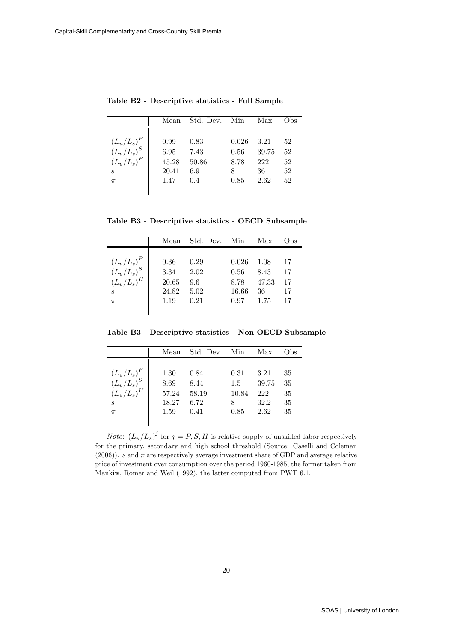|                                                                               | Mean                                   | Std. Dev.                           | Min                           | Max                                | Obs                        |
|-------------------------------------------------------------------------------|----------------------------------------|-------------------------------------|-------------------------------|------------------------------------|----------------------------|
| $(L_u/L_s)^P$<br>$(L_u/L_s)^S$<br>$(L_u/L_s)^H$<br>$\mathcal{S}_{1}$<br>$\pi$ | 0.99<br>6.95<br>45.28<br>20.41<br>1.47 | 0.83<br>7.43<br>50.86<br>6.9<br>0.4 | 0.026<br>0.56<br>8.78<br>0.85 | 3.21<br>39.75<br>222<br>36<br>2.62 | 52<br>52<br>52<br>52<br>52 |

Table B2 - Descriptive statistics - Full Sample

Table B3 - Descriptive statistics - OECD Subsample

| $(L_u/L_s)^P$<br>$(L_u/L_s)^S$<br>0.36<br>0.29<br>0.026<br>1.08<br>17<br>3.34<br>2.02<br>17<br>0.56<br>8.43<br>$(L_u/L_s)^H$<br>20.65<br>47.33<br>17<br>9.6<br>8.78<br>$\overline{s}$<br>24.82<br>16.66<br>17<br>5.02<br>36 | Mean | Std. Dev. Min | Max | Obs) |
|-----------------------------------------------------------------------------------------------------------------------------------------------------------------------------------------------------------------------------|------|---------------|-----|------|
| 17<br>0.21<br>0.97<br>1.75<br>1.19<br>$\pi$                                                                                                                                                                                 |      |               |     |      |

Table B3 - Descriptive statistics - Non-OECD Subsample

|                                | Mean  | Std. Dev. | – Min | Max   | Obs |
|--------------------------------|-------|-----------|-------|-------|-----|
|                                |       |           |       |       |     |
|                                | 1.30  | 0.84      | 0.31  | 3.21  | 35  |
| $(L_u/L_s)^P$<br>$(L_u/L_s)^S$ | 8.69  | 8.44      | 1.5   | 39.75 | 35  |
| $(L_u/L_s)^H$                  | 57.24 | 58.19     | 10.84 | 222   | 35  |
| $\mathcal{S}_{1}$              | 18.27 | 6.72      | 8     | 32.2  | 35  |
| $\pi$                          | 1.59  | 0.41      | 0.85  | 2.62  | 35  |
|                                |       |           |       |       |     |

*Note:*  $(L_u/L_s)^j$  for  $j = P, S, H$  is relative supply of unskilled labor respectively for the primary, secondary and high school threshold (Source: Caselli and Coleman (2006)). s and  $\pi$  are respectively average investment share of GDP and average relative price of investment over consumption over the period 1960-1985, the former taken from Mankiw, Romer and Weil (1992), the latter computed from PWT 6.1.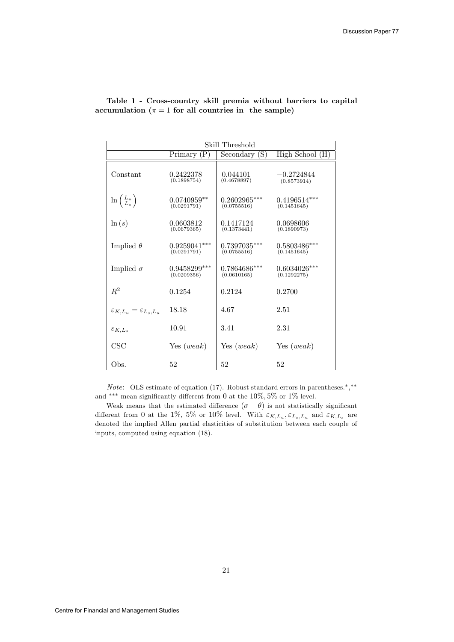|                                               | Skill Threshold               |                               |                               |  |  |  |  |  |
|-----------------------------------------------|-------------------------------|-------------------------------|-------------------------------|--|--|--|--|--|
|                                               | Primary $(P)$                 | Secondary (S)                 | High School (H)               |  |  |  |  |  |
| Constant                                      | 0.2422378<br>(0.1898754)      | 0.044101<br>(0.4678897)       | $-0.2724844$<br>(0.8573914)   |  |  |  |  |  |
| $\ln\left(\frac{L_u}{L_s}\right)$             | $0.0740959**$<br>(0.0291791)  | $0.2602965***$<br>(0.0755516) | $0.4196514***$<br>(0.1451645) |  |  |  |  |  |
| $\ln(s)$                                      | 0.0603812<br>(0.0679365)      | 0.1417124<br>(0.1373441)      | 0.0698606<br>(0.1890973)      |  |  |  |  |  |
| Implied $\theta$                              | $0.9259041***$<br>(0.0291791) | $0.7397035***$<br>(0.0755516) | $0.5803486***$<br>(0.1451645) |  |  |  |  |  |
| Implied $\sigma$                              | $0.9458299***$<br>(0.0209356) | $0.7864686***$<br>(0.0610165) | $0.6034026***$<br>(0.1292275) |  |  |  |  |  |
| $R^2$                                         | 0.1254                        | 0.2124                        | 0.2700                        |  |  |  |  |  |
| $\varepsilon_{K,L_u} = \varepsilon_{L_s,L_u}$ | 18.18                         | 4.67                          | 2.51                          |  |  |  |  |  |
| $\varepsilon_{K,L_s}$                         | 10.91                         | 3.41                          | 2.31                          |  |  |  |  |  |
| CSC                                           | Yes (weak)                    | Yes $(weak)$                  | Yes $(weak)$                  |  |  |  |  |  |
| Obs.                                          | 52                            | 52                            | 52                            |  |  |  |  |  |

Table 1 - Cross-country skill premia without barriers to capital accumulation ( $\pi = 1$  for all countries in the sample)

*Note*: OLS estimate of equation (17). Robust standard errors in parentheses.<sup>\*</sup>,<sup>\*\*</sup> and  $^{***}$  mean significantly different from 0 at the  $10\%, 5\%$  or  $1\%$  level.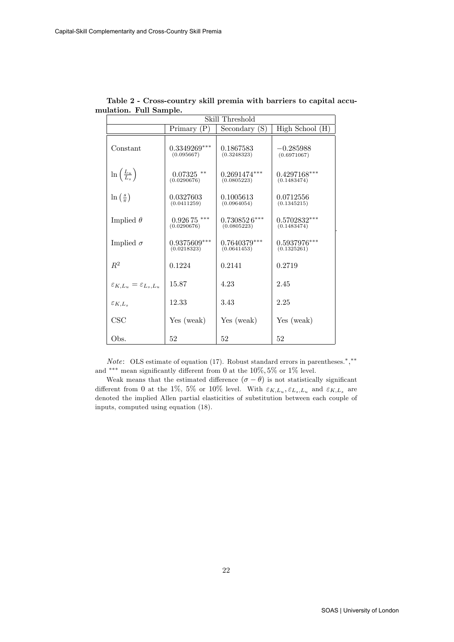|                                               |                               | Skill Threshold               |                               |  |  |  |  |  |
|-----------------------------------------------|-------------------------------|-------------------------------|-------------------------------|--|--|--|--|--|
|                                               | Primary $(P)$                 | Secondary (S)                 | High School (H)               |  |  |  |  |  |
| Constant                                      | $0.3349269***$<br>(0.095667)  | 0.1867583<br>(0.3248323)      | $-0.285988$<br>(0.6971067)    |  |  |  |  |  |
| $\ln\left(\frac{L_u}{L_s}\right)$             | $0.07325$ **<br>(0.0290676)   | $0.2691474***$<br>(0.0805223) | $0.4297168***$<br>(0.1483474) |  |  |  |  |  |
| $\ln\left(\frac{s}{\pi}\right)$               | 0.0327603<br>(0.0411259)      | 0.1005613<br>(0.0964054)      | 0.0712556<br>(0.1345215)      |  |  |  |  |  |
| Implied $\theta$                              | $0.92675$ ***<br>(0.0290676)  | $0.7308526***$<br>(0.0805223) | $0.5702832***$<br>(0.1483474) |  |  |  |  |  |
| Implied $\sigma$                              | $0.9375609***$<br>(0.0218323) | $0.7640379***$<br>(0.0641453) | $0.5937976***$<br>(0.1325261) |  |  |  |  |  |
| $R^2$                                         | 0.1224                        | 0.2141                        | 0.2719                        |  |  |  |  |  |
| $\varepsilon_{K,L_u} = \varepsilon_{L_s,L_u}$ | 15.87                         | 4.23                          | 2.45                          |  |  |  |  |  |
| $\varepsilon_{K,L}$                           | 12.33                         | 3.43                          | 2.25                          |  |  |  |  |  |
| CSC                                           | Yes (weak)                    | Yes (weak)                    | Yes (weak)                    |  |  |  |  |  |
| Obs.                                          | 52                            | 52                            | 52                            |  |  |  |  |  |

Table 2 - Cross-country skill premia with barriers to capital accumulation. Full Sample.

*Note*: OLS estimate of equation (17). Robust standard errors in parentheses.<sup>\*</sup>,<sup>\*\*</sup> and  $^{***}$  mean significantly different from 0 at the  $10\%, 5\%$  or  $1\%$  level.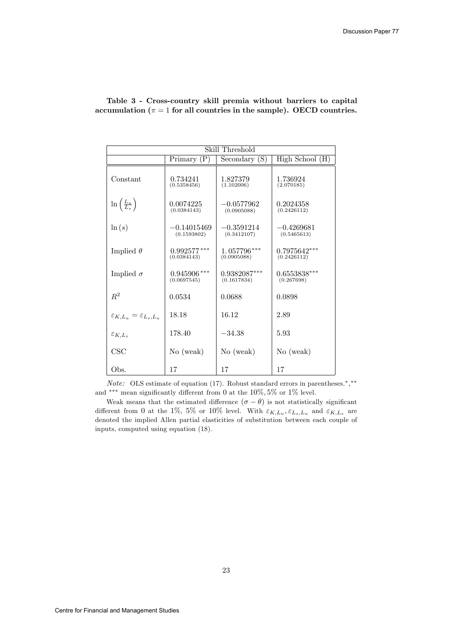|                                               | Skill Threshold               |                               |                               |  |  |  |  |  |
|-----------------------------------------------|-------------------------------|-------------------------------|-------------------------------|--|--|--|--|--|
|                                               | Primary $(P)$                 | Secondary $(S)$               | High School (H)               |  |  |  |  |  |
| Constant                                      | 0.734241<br>(0.5358456)       | 1.827379<br>(1.102006)        | 1.736924<br>(2.070185)        |  |  |  |  |  |
| $\ln\left(\frac{L_u}{L_s}\right)$             | 0.0074225<br>(0.0384143)      | $-0.0577962$<br>(0.0905088)   | 0.2024358<br>(0.2426112)      |  |  |  |  |  |
| $\ln(s)$                                      | $-0.14015469$<br>(0.1593802)  | $-0.3591214$<br>(0.3412107)   | $-0.4269681$<br>(0.5465613)   |  |  |  |  |  |
| Implied $\theta$                              | $0.992577***$<br>(0.0384143)  | $1.057796***$<br>(0.0905088)  | $0.7975642***$<br>(0.2426112) |  |  |  |  |  |
| Implied $\sigma$                              | $0.945906$ ***<br>(0.0697545) | $0.9382087***$<br>(0.1617834) | $0.6553838***$<br>(0.267698)  |  |  |  |  |  |
| $R^2$                                         | 0.0534                        | 0.0688                        | 0.0898                        |  |  |  |  |  |
| $\varepsilon_{K,L_u} = \varepsilon_{L_s,L_u}$ | 18.18                         | 16.12                         | 2.89                          |  |  |  |  |  |
| $\varepsilon_{K,L_s}$                         | 178.40                        | $-34.38$                      | 5.93                          |  |  |  |  |  |
| $\csc$                                        | No (weak)                     | No (weak)                     | No (weak)                     |  |  |  |  |  |
| Obs.                                          | 17                            | 17                            | 17                            |  |  |  |  |  |

Table 3 - Cross-country skill premia without barriers to capital accumulation ( $\pi = 1$  for all countries in the sample). OECD countries.

*Note:* OLS estimate of equation (17). Robust standard errors in parentheses.<sup>\*</sup>,<sup>\*\*</sup> and \*\*\* mean significantly different from 0 at the  $10\%, 5\%$  or  $1\%$  level.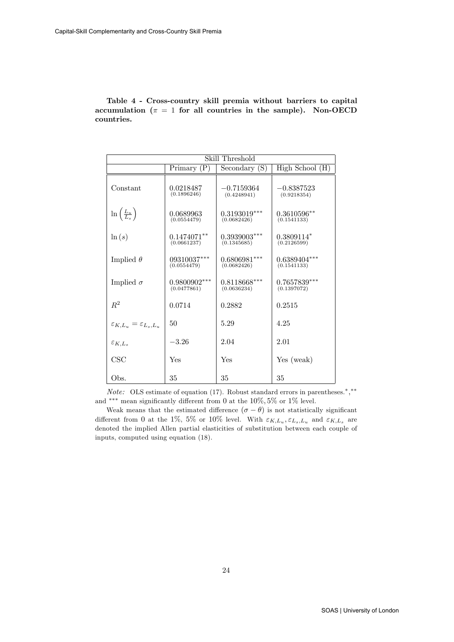Table 4 - Cross-country skill premia without barriers to capital accumulation ( $\pi = 1$  for all countries in the sample). Non-OECD countries.

|                                               |                               | Skill Threshold               |                               |
|-----------------------------------------------|-------------------------------|-------------------------------|-------------------------------|
|                                               | Primary $(P)$                 | Secondary (S)                 | High School (H)               |
| Constant                                      | 0.0218487<br>(0.1896246)      | $-0.7159364$<br>(0.4248941)   | $-0.8387523$<br>(0.9218354)   |
| $\ln\left(\frac{L_u}{L_s}\right)$             | 0.0689963<br>(0.0554479)      | $0.3193019***$<br>(0.0682426) | $0.3610596**$<br>(0.1541133)  |
| $\ln(s)$                                      | $0.1474071**$<br>(0.0661237)  | $0.3939003***$<br>(0.1345685) | $0.3809114*$<br>(0.2126599)   |
| Implied $\theta$                              | $09310037***$<br>(0.0554479)  | $0.6806981***$<br>(0.0682426) | $0.6389404***$<br>(0.1541133) |
| Implied $\sigma$                              | $0.9800902***$<br>(0.0477861) | $0.8118668***$<br>(0.0636234) | $0.7657839***$<br>(0.1397072) |
| $R^2$                                         | 0.0714                        | 0.2882                        | 0.2515                        |
| $\varepsilon_{K,L_u} = \varepsilon_{L_s,L_u}$ | 50                            | 5.29                          | 4.25                          |
| $\varepsilon_{K,L_s}$                         | $-3.26$                       | 2.04                          | 2.01                          |
| CSC                                           | Yes                           | Yes                           | Yes (weak)                    |
| Obs.                                          | 35                            | 35                            | 35                            |

*Note:* OLS estimate of equation (17). Robust standard errors in parentheses.<sup>\*</sup>,<sup>\*\*</sup> and \*\*\* mean significantly different from 0 at the  $10\%, 5\%$  or  $1\%$  level.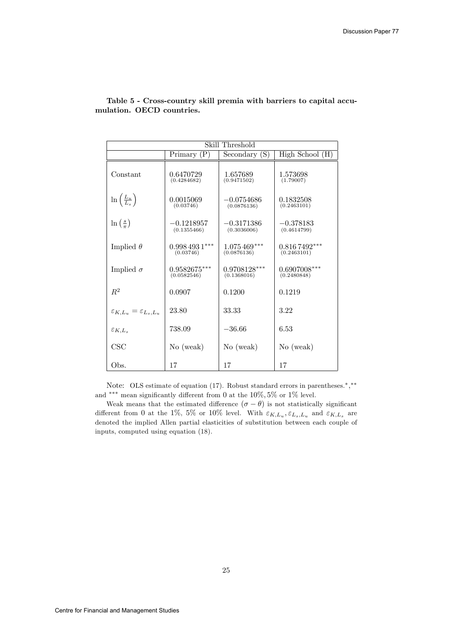|                                               | Skill Threshold               |                               |                               |  |  |  |  |  |
|-----------------------------------------------|-------------------------------|-------------------------------|-------------------------------|--|--|--|--|--|
|                                               | Primary $(P)$                 | Secondary (S)                 | High School (H)               |  |  |  |  |  |
| Constant                                      | 0.6470729<br>(0.4284682)      | 1.657689<br>(0.9471502)       | 1.573698<br>(1.79007)         |  |  |  |  |  |
| $\ln\left(\frac{L_u}{L_s}\right)$             | 0.0015069<br>(0.03746)        | $-0.0754686$<br>(0.0876136)   | 0.1832508<br>(0.2463101)      |  |  |  |  |  |
| $\ln\left(\frac{s}{\pi}\right)$               | $-0.1218957$<br>(0.1355466)   | $-0.3171386$<br>(0.3036006)   | $-0.378183$<br>(0.4614799)    |  |  |  |  |  |
| Implied $\theta$                              | $0.9984931***$<br>(0.03746)   | $1.075469***$<br>(0.0876136)  | $0.8167492***$<br>(0.2463101) |  |  |  |  |  |
| Implied $\sigma$                              | $0.9582675***$<br>(0.0582546) | $0.9708128***$<br>(0.1368016) | $0.6907008***$<br>(0.2480848) |  |  |  |  |  |
| $R^2$                                         | 0.0907                        | 0.1200                        | 0.1219                        |  |  |  |  |  |
| $\varepsilon_{K,L_u} = \varepsilon_{L_s,L_u}$ | 23.80                         | 33.33                         | 3.22                          |  |  |  |  |  |
| $\varepsilon_{K,L}$                           | 738.09                        | $-36.66$                      | 6.53                          |  |  |  |  |  |
| CSC                                           | No (weak)                     | No (weak)                     | No (weak)                     |  |  |  |  |  |
| Obs.                                          | 17                            | 17                            | 17                            |  |  |  |  |  |

Table 5 - Cross-country skill premia with barriers to capital accumulation. OECD countries.

Note: OLS estimate of equation (17). Robust standard errors in parentheses.<sup>\*</sup>,\*\* and \*\*\* mean significantly different from 0 at the  $10\%, 5\%$  or  $1\%$  level.